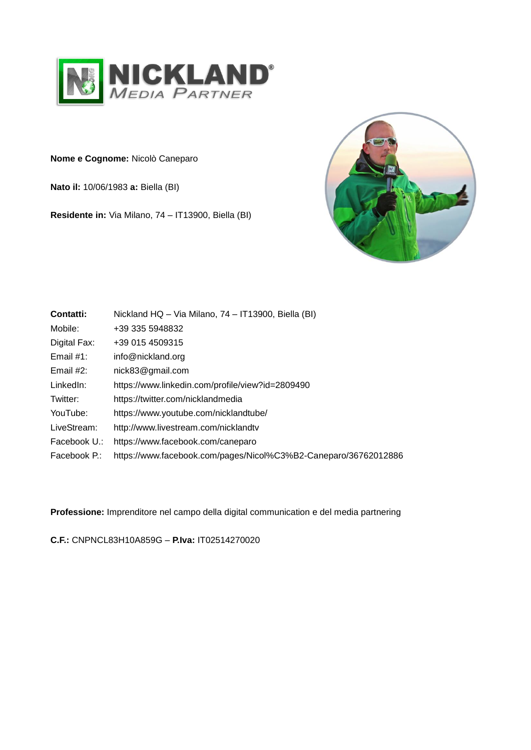

**Nome e Cognome:** Nicolò Caneparo

**Nato il:** 10/06/1983 **a:** Biella (BI)

**Residente in:** Via Milano, 74 – IT13900, Biella (BI)



| Contatti:    | Nickland HQ - Via Milano, 74 - IT13900, Biella (BI)             |
|--------------|-----------------------------------------------------------------|
| Mobile:      | +39 335 5948832                                                 |
| Digital Fax: | +39 015 4509315                                                 |
| Email $#1$ : | info@nickland.org                                               |
| Email $#2$ : | nick83@gmail.com                                                |
| LinkedIn:    | https://www.linkedin.com/profile/view?id=2809490                |
| Twitter:     | https://twitter.com/nicklandmedia                               |
| YouTube:     | https://www.youtube.com/nicklandtube/                           |
| LiveStream:  | http://www.livestream.com/nicklandtv                            |
| Facebook U.: | https://www.facebook.com/caneparo                               |
| Facebook P.: | https://www.facebook.com/pages/Nicol%C3%B2-Caneparo/36762012886 |
|              |                                                                 |

**Professione:** Imprenditore nel campo della digital communication e del media partnering

**C.F.:** CNPNCL83H10A859G – **P.Iva:** IT02514270020